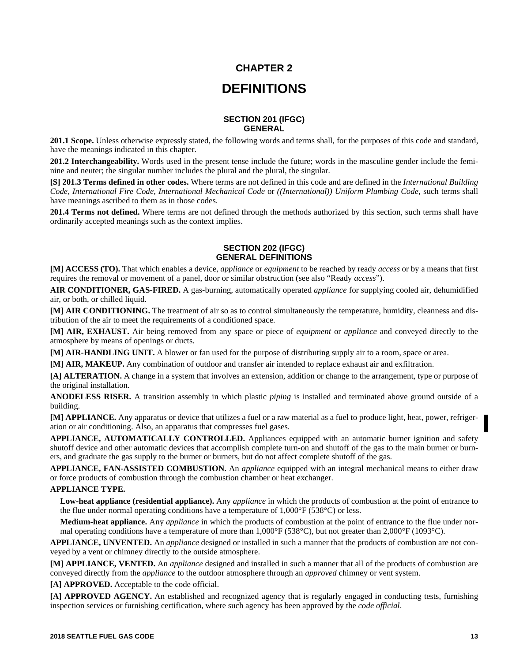# **CHAPTER 2 DEFINITIONS**

## **SECTION 201 (IFGC) GENERAL**

**201.1 Scope.** Unless otherwise expressly stated, the following words and terms shall, for the purposes of this code and standard, have the meanings indicated in this chapter.

**201.2 Interchangeability.** Words used in the present tense include the future; words in the masculine gender include the feminine and neuter; the singular number includes the plural and the plural, the singular.

**[S] 201.3 Terms defined in other codes.** Where terms are not defined in this code and are defined in the *International Building Code*, *International Fire Code*, *International Mechanical Code* or *((International)) Uniform Plumbing Code*, such terms shall have meanings ascribed to them as in those codes.

**201.4 Terms not defined.** Where terms are not defined through the methods authorized by this section, such terms shall have ordinarily accepted meanings such as the context implies.

# **SECTION 202 (IFGC) GENERAL DEFINITIONS**

**[M] ACCESS (TO).** That which enables a device, *appliance* or *equipment* to be reached by ready *access* or by a means that first requires the removal or movement of a panel, door or similar obstruction (see also "Ready *access*").

**AIR CONDITIONER, GAS-FIRED.** A gas-burning, automatically operated *appliance* for supplying cooled air, dehumidified air, or both, or chilled liquid.

**[M] AIR CONDITIONING.** The treatment of air so as to control simultaneously the temperature, humidity, cleanness and distribution of the air to meet the requirements of a conditioned space.

**[M] AIR, EXHAUST.** Air being removed from any space or piece of *equipment* or *appliance* and conveyed directly to the atmosphere by means of openings or ducts.

**[M] AIR-HANDLING UNIT.** A blower or fan used for the purpose of distributing supply air to a room, space or area.

**[M] AIR, MAKEUP.** Any combination of outdoor and transfer air intended to replace exhaust air and exfiltration.

**[A] ALTERATION.** A change in a system that involves an extension, addition or change to the arrangement, type or purpose of the original installation.

**ANODELESS RISER.** A transition assembly in which plastic *piping* is installed and terminated above ground outside of a building.

**[M] APPLIANCE.** Any apparatus or device that utilizes a fuel or a raw material as a fuel to produce light, heat, power, refrigeration or air conditioning. Also, an apparatus that compresses fuel gases.

**APPLIANCE, AUTOMATICALLY CONTROLLED.** Appliances equipped with an automatic burner ignition and safety shutoff device and other automatic devices that accomplish complete turn-on and shutoff of the gas to the main burner or burners, and graduate the gas supply to the burner or burners, but do not affect complete shutoff of the gas.

**APPLIANCE, FAN-ASSISTED COMBUSTION.** An *appliance* equipped with an integral mechanical means to either draw or force products of combustion through the combustion chamber or heat exchanger.

### **APPLIANCE TYPE.**

**Low-heat appliance (residential appliance).** Any *appliance* in which the products of combustion at the point of entrance to the flue under normal operating conditions have a temperature of 1,000°F (538°C) or less.

**Medium-heat appliance.** Any *appliance* in which the products of combustion at the point of entrance to the flue under normal operating conditions have a temperature of more than 1,000°F (538°C), but not greater than 2,000°F (1093°C).

**APPLIANCE, UNVENTED.** An *appliance* designed or installed in such a manner that the products of combustion are not conveyed by a vent or chimney directly to the outside atmosphere.

**[M] APPLIANCE, VENTED.** An *appliance* designed and installed in such a manner that all of the products of combustion are conveyed directly from the *appliance* to the outdoor atmosphere through an *approved* chimney or vent system.

**[A] APPROVED.** Acceptable to the code official.

**[A] APPROVED AGENCY.** An established and recognized agency that is regularly engaged in conducting tests, furnishing inspection services or furnishing certification, where such agency has been approved by the *code official*.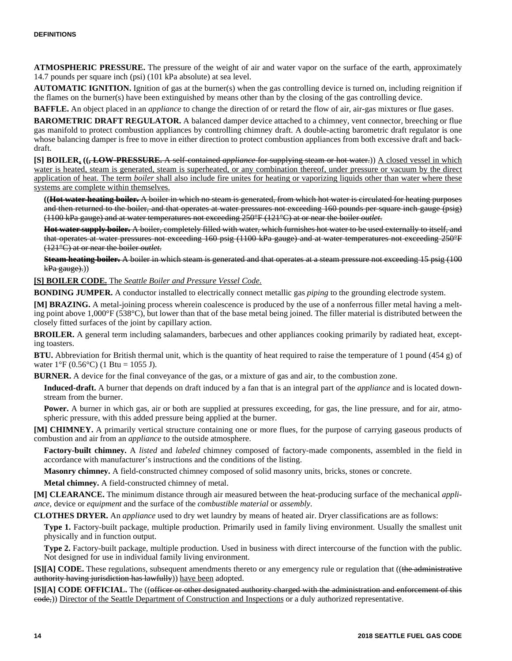**ATMOSPHERIC PRESSURE.** The pressure of the weight of air and water vapor on the surface of the earth, approximately 14.7 pounds per square inch (psi) (101 kPa absolute) at sea level.

**AUTOMATIC IGNITION.** Ignition of gas at the burner(s) when the gas controlling device is turned on, including reignition if the flames on the burner(s) have been extinguished by means other than by the closing of the gas controlling device.

**BAFFLE.** An object placed in an *appliance* to change the direction of or retard the flow of air, air-gas mixtures or flue gases.

**BAROMETRIC DRAFT REGULATOR.** A balanced damper device attached to a chimney, vent connector, breeching or flue gas manifold to protect combustion appliances by controlling chimney draft. A double-acting barometric draft regulator is one whose balancing damper is free to move in either direction to protect combustion appliances from both excessive draft and backdraft.

**[S] BOILER. ((, LOW-PRESSURE.** A self-contained *appliance* for supplying steam or hot water.)) A closed vessel in which water is heated, steam is generated, steam is superheated, or any combination thereof, under pressure or vacuum by the direct application of heat. The term *boiler* shall also include fire unites for heating or vaporizing liquids other than water where these systems are complete within themselves.

**((Hot water heating boiler.** A boiler in which no steam is generated, from which hot water is circulated for heating purposes and then returned to the boiler, and that operates at water pressures not exceeding 160 pounds per square inch gauge (psig) (1100 kPa gauge) and at water temperatures not exceeding 250°F (121°C) at or near the boiler *outlet*.

**Hot water supply boiler.** A boiler, completely filled with water, which furnishes hot water to be used externally to itself, and that operates at water pressures not exceeding 160 psig (1100 kPa gauge) and at water temperatures not exceeding 250°F (121°C) at or near the boiler *outlet*.

**Steam heating boiler.** A boiler in which steam is generated and that operates at a steam pressure not exceeding 15 psig (100 kPa gauge).))

**[S] BOILER CODE.** The *Seattle Boiler and Pressure Vessel Code*.

**BONDING JUMPER.** A conductor installed to electrically connect metallic gas *piping* to the grounding electrode system.

**[M] BRAZING.** A metal-joining process wherein coalescence is produced by the use of a nonferrous filler metal having a melting point above 1,000°F (538°C), but lower than that of the base metal being joined. The filler material is distributed between the closely fitted surfaces of the joint by capillary action.

**BROILER.** A general term including salamanders, barbecues and other appliances cooking primarily by radiated heat, excepting toasters.

**BTU.** Abbreviation for British thermal unit, which is the quantity of heat required to raise the temperature of 1 pound (454 g) of water  $1^{\circ}F (0.56^{\circ}C)$  (1 Btu = 1055 J).

**BURNER.** A device for the final conveyance of the gas, or a mixture of gas and air, to the combustion zone.

**Induced-draft.** A burner that depends on draft induced by a fan that is an integral part of the *appliance* and is located downstream from the burner.

**Power.** A burner in which gas, air or both are supplied at pressures exceeding, for gas, the line pressure, and for air, atmospheric pressure, with this added pressure being applied at the burner.

**[M] CHIMNEY.** A primarily vertical structure containing one or more flues, for the purpose of carrying gaseous products of combustion and air from an *appliance* to the outside atmosphere.

**Factory-built chimney.** A *listed* and *labeled* chimney composed of factory-made components, assembled in the field in accordance with manufacturer's instructions and the conditions of the listing.

**Masonry chimney.** A field-constructed chimney composed of solid masonry units, bricks, stones or concrete.

**Metal chimney.** A field-constructed chimney of metal.

**[M] CLEARANCE.** The minimum distance through air measured between the heat-producing surface of the mechanical *appliance*, device or *equipment* and the surface of the *combustible material* or *assembly*.

**CLOTHES DRYER.** An *appliance* used to dry wet laundry by means of heated air. Dryer classifications are as follows:

**Type 1.** Factory-built package, multiple production. Primarily used in family living environment. Usually the smallest unit physically and in function output.

**Type 2.** Factory-built package, multiple production. Used in business with direct intercourse of the function with the public. Not designed for use in individual family living environment.

**[S][A] CODE.** These regulations, subsequent amendments thereto or any emergency rule or regulation that ((the administrative authority having jurisdiction has lawfully)) have been adopted.

**[S][A] CODE OFFICIAL.** The ((officer or other designated authority charged with the administration and enforcement of this eode<sub>r</sub>)) Director of the Seattle Department of Construction and Inspections or a duly authorized representative.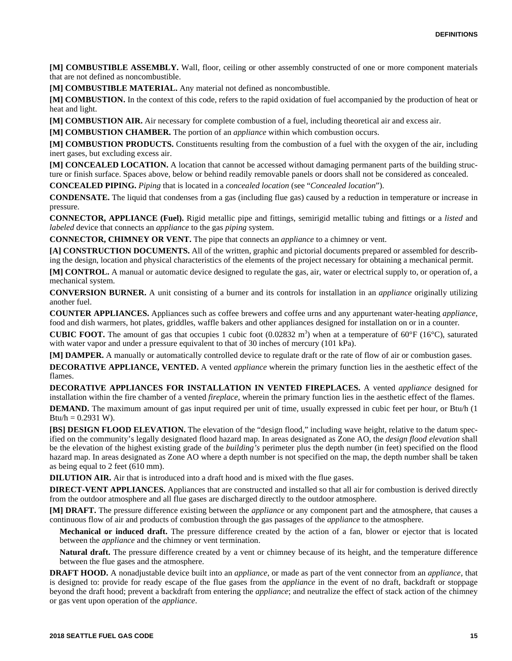**[M] COMBUSTIBLE ASSEMBLY.** Wall, floor, ceiling or other assembly constructed of one or more component materials that are not defined as noncombustible.

**[M] COMBUSTIBLE MATERIAL.** Any material not defined as noncombustible.

**[M] COMBUSTION.** In the context of this code, refers to the rapid oxidation of fuel accompanied by the production of heat or heat and light.

**[M] COMBUSTION AIR.** Air necessary for complete combustion of a fuel, including theoretical air and excess air.

**[M] COMBUSTION CHAMBER.** The portion of an *appliance* within which combustion occurs.

**[M] COMBUSTION PRODUCTS.** Constituents resulting from the combustion of a fuel with the oxygen of the air, including inert gases, but excluding excess air.

**[M] CONCEALED LOCATION.** A location that cannot be accessed without damaging permanent parts of the building structure or finish surface. Spaces above, below or behind readily removable panels or doors shall not be considered as concealed.

**CONCEALED PIPING.** *Piping* that is located in a *concealed location* (see "*Concealed location*").

**CONDENSATE.** The liquid that condenses from a gas (including flue gas) caused by a reduction in temperature or increase in pressure.

**CONNECTOR, APPLIANCE (Fuel).** Rigid metallic pipe and fittings, semirigid metallic tubing and fittings or a *listed* and *labeled* device that connects an *appliance* to the gas *piping* system.

**CONNECTOR, CHIMNEY OR VENT.** The pipe that connects an *appliance* to a chimney or vent.

**[A] CONSTRUCTION DOCUMENTS.** All of the written, graphic and pictorial documents prepared or assembled for describing the design, location and physical characteristics of the elements of the project necessary for obtaining a mechanical permit.

**[M] CONTROL.** A manual or automatic device designed to regulate the gas, air, water or electrical supply to, or operation of, a mechanical system.

**CONVERSION BURNER.** A unit consisting of a burner and its controls for installation in an *appliance* originally utilizing another fuel.

**COUNTER APPLIANCES.** Appliances such as coffee brewers and coffee urns and any appurtenant water-heating *appliance*, food and dish warmers, hot plates, griddles, waffle bakers and other appliances designed for installation on or in a counter.

**CUBIC FOOT.** The amount of gas that occupies 1 cubic foot  $(0.02832 \text{ m}^3)$  when at a temperature of  $60^{\circ}$ F  $(16^{\circ}$ C), saturated with water vapor and under a pressure equivalent to that of 30 inches of mercury (101 kPa).

**[M] DAMPER.** A manually or automatically controlled device to regulate draft or the rate of flow of air or combustion gases.

**DECORATIVE APPLIANCE, VENTED.** A vented *appliance* wherein the primary function lies in the aesthetic effect of the flames.

**DECORATIVE APPLIANCES FOR INSTALLATION IN VENTED FIREPLACES.** A vented *appliance* designed for installation within the fire chamber of a vented *fireplace*, wherein the primary function lies in the aesthetic effect of the flames. **DEMAND.** The maximum amount of gas input required per unit of time, usually expressed in cubic feet per hour, or Btu/h (1) Btu/h =  $0.2931$  W).

**[BS] DESIGN FLOOD ELEVATION.** The elevation of the "design flood," including wave height, relative to the datum specified on the community's legally designated flood hazard map. In areas designated as Zone AO, the *design flood elevation* shall be the elevation of the highest existing grade of the *building's* perimeter plus the depth number (in feet) specified on the flood hazard map. In areas designated as Zone AO where a depth number is not specified on the map, the depth number shall be taken as being equal to 2 feet (610 mm).

**DILUTION AIR.** Air that is introduced into a draft hood and is mixed with the flue gases.

**DIRECT-VENT APPLIANCES.** Appliances that are constructed and installed so that all air for combustion is derived directly from the outdoor atmosphere and all flue gases are discharged directly to the outdoor atmosphere.

**[M] DRAFT.** The pressure difference existing between the *appliance* or any component part and the atmosphere, that causes a continuous flow of air and products of combustion through the gas passages of the *appliance* to the atmosphere.

**Mechanical or induced draft.** The pressure difference created by the action of a fan, blower or ejector that is located between the *appliance* and the chimney or vent termination.

**Natural draft.** The pressure difference created by a vent or chimney because of its height, and the temperature difference between the flue gases and the atmosphere.

**DRAFT HOOD.** A nonadjustable device built into an *appliance*, or made as part of the vent connector from an *appliance*, that is designed to: provide for ready escape of the flue gases from the *appliance* in the event of no draft, backdraft or stoppage beyond the draft hood; prevent a backdraft from entering the *appliance*; and neutralize the effect of stack action of the chimney or gas vent upon operation of the *appliance*.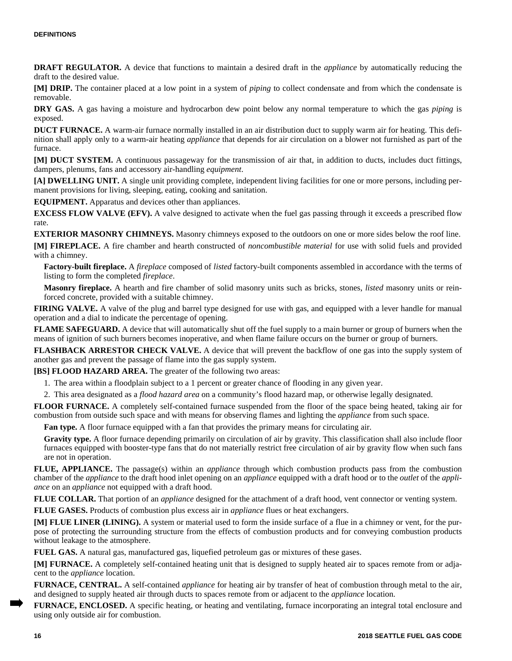**DRAFT REGULATOR.** A device that functions to maintain a desired draft in the *appliance* by automatically reducing the draft to the desired value.

**[M] DRIP.** The container placed at a low point in a system of *piping* to collect condensate and from which the condensate is removable.

**DRY GAS.** A gas having a moisture and hydrocarbon dew point below any normal temperature to which the gas *piping* is exposed.

**DUCT FURNACE.** A warm-air furnace normally installed in an air distribution duct to supply warm air for heating. This definition shall apply only to a warm-air heating *appliance* that depends for air circulation on a blower not furnished as part of the furnace.

**[M] DUCT SYSTEM.** A continuous passageway for the transmission of air that, in addition to ducts, includes duct fittings, dampers, plenums, fans and accessory air-handling *equipment*.

**[A] DWELLING UNIT.** A single unit providing complete, independent living facilities for one or more persons, including permanent provisions for living, sleeping, eating, cooking and sanitation.

**EQUIPMENT.** Apparatus and devices other than appliances.

**EXCESS FLOW VALVE (EFV).** A valve designed to activate when the fuel gas passing through it exceeds a prescribed flow rate.

**EXTERIOR MASONRY CHIMNEYS.** Masonry chimneys exposed to the outdoors on one or more sides below the roof line.

**[M] FIREPLACE.** A fire chamber and hearth constructed of *noncombustible material* for use with solid fuels and provided with a chimney.

**Factory-built fireplace.** A *fireplace* composed of *listed* factory-built components assembled in accordance with the terms of listing to form the completed *fireplace*.

**Masonry fireplace.** A hearth and fire chamber of solid masonry units such as bricks, stones, *listed* masonry units or reinforced concrete, provided with a suitable chimney.

**FIRING VALVE.** A valve of the plug and barrel type designed for use with gas, and equipped with a lever handle for manual operation and a dial to indicate the percentage of opening.

**FLAME SAFEGUARD.** A device that will automatically shut off the fuel supply to a main burner or group of burners when the means of ignition of such burners becomes inoperative, and when flame failure occurs on the burner or group of burners.

**FLASHBACK ARRESTOR CHECK VALVE.** A device that will prevent the backflow of one gas into the supply system of another gas and prevent the passage of flame into the gas supply system.

**[BS] FLOOD HAZARD AREA.** The greater of the following two areas:

1. The area within a floodplain subject to a 1 percent or greater chance of flooding in any given year.

2. This area designated as a *flood hazard area* on a community's flood hazard map, or otherwise legally designated.

**FLOOR FURNACE.** A completely self-contained furnace suspended from the floor of the space being heated, taking air for combustion from outside such space and with means for observing flames and lighting the *appliance* from such space.

**Fan type.** A floor furnace equipped with a fan that provides the primary means for circulating air.

**Gravity type.** A floor furnace depending primarily on circulation of air by gravity. This classification shall also include floor furnaces equipped with booster-type fans that do not materially restrict free circulation of air by gravity flow when such fans are not in operation.

**FLUE, APPLIANCE.** The passage(s) within an *appliance* through which combustion products pass from the combustion chamber of the *appliance* to the draft hood inlet opening on an *appliance* equipped with a draft hood or to the *outlet* of the *appliance* on an *appliance* not equipped with a draft hood.

**FLUE COLLAR.** That portion of an *appliance* designed for the attachment of a draft hood, vent connector or venting system.

**FLUE GASES.** Products of combustion plus excess air in *appliance* flues or heat exchangers.

**[M] FLUE LINER (LINING).** A system or material used to form the inside surface of a flue in a chimney or vent, for the purpose of protecting the surrounding structure from the effects of combustion products and for conveying combustion products without leakage to the atmosphere.

**FUEL GAS.** A natural gas, manufactured gas, liquefied petroleum gas or mixtures of these gases.

**[M] FURNACE.** A completely self-contained heating unit that is designed to supply heated air to spaces remote from or adjacent to the *appliance* location.

**FURNACE, CENTRAL.** A self-contained *appliance* for heating air by transfer of heat of combustion through metal to the air, and designed to supply heated air through ducts to spaces remote from or adjacent to the *appliance* location.

**FURNACE, ENCLOSED.** A specific heating, or heating and ventilating, furnace incorporating an integral total enclosure and using only outside air for combustion.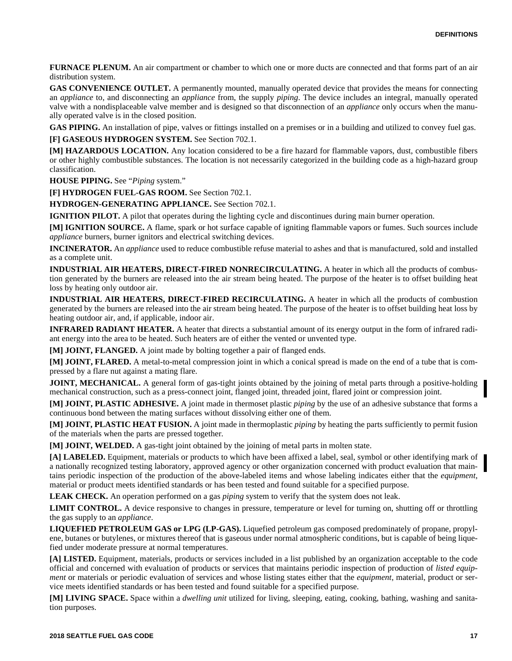**FURNACE PLENUM.** An air compartment or chamber to which one or more ducts are connected and that forms part of an air distribution system.

**GAS CONVENIENCE OUTLET.** A permanently mounted, manually operated device that provides the means for connecting an *appliance* to, and disconnecting an *appliance* from, the supply *piping*. The device includes an integral, manually operated valve with a nondisplaceable valve member and is designed so that disconnection of an *appliance* only occurs when the manually operated valve is in the closed position.

**GAS PIPING.** An installation of pipe, valves or fittings installed on a premises or in a building and utilized to convey fuel gas.

**[F] GASEOUS HYDROGEN SYSTEM.** See Section 702.1.

**[M] HAZARDOUS LOCATION.** Any location considered to be a fire hazard for flammable vapors, dust, combustible fibers or other highly combustible substances. The location is not necessarily categorized in the building code as a high-hazard group classification.

**HOUSE PIPING.** See "*Piping* system."

**[F] HYDROGEN FUEL-GAS ROOM.** See Section 702.1.

**HYDROGEN-GENERATING APPLIANCE.** See Section 702.1.

**IGNITION PILOT.** A pilot that operates during the lighting cycle and discontinues during main burner operation.

**[M] IGNITION SOURCE.** A flame, spark or hot surface capable of igniting flammable vapors or fumes. Such sources include *appliance* burners, burner ignitors and electrical switching devices.

**INCINERATOR.** An *appliance* used to reduce combustible refuse material to ashes and that is manufactured, sold and installed as a complete unit.

**INDUSTRIAL AIR HEATERS, DIRECT-FIRED NONRECIRCULATING.** A heater in which all the products of combustion generated by the burners are released into the air stream being heated. The purpose of the heater is to offset building heat loss by heating only outdoor air.

**INDUSTRIAL AIR HEATERS, DIRECT-FIRED RECIRCULATING.** A heater in which all the products of combustion generated by the burners are released into the air stream being heated. The purpose of the heater is to offset building heat loss by heating outdoor air, and, if applicable, indoor air.

**INFRARED RADIANT HEATER.** A heater that directs a substantial amount of its energy output in the form of infrared radiant energy into the area to be heated. Such heaters are of either the vented or unvented type.

**[M] JOINT, FLANGED.** A joint made by bolting together a pair of flanged ends.

**[M] JOINT, FLARED.** A metal-to-metal compression joint in which a conical spread is made on the end of a tube that is compressed by a flare nut against a mating flare.

**JOINT, MECHANICAL.** A general form of gas-tight joints obtained by the joining of metal parts through a positive-holding mechanical construction, such as a press-connect joint, flanged joint, threaded joint, flared joint or compression joint.

**[M] JOINT, PLASTIC ADHESIVE.** A joint made in thermoset plastic *piping* by the use of an adhesive substance that forms a continuous bond between the mating surfaces without dissolving either one of them.

**[M] JOINT, PLASTIC HEAT FUSION.** A joint made in thermoplastic *piping* by heating the parts sufficiently to permit fusion of the materials when the parts are pressed together.

**[M] JOINT, WELDED.** A gas-tight joint obtained by the joining of metal parts in molten state.

**[A] LABELED.** Equipment, materials or products to which have been affixed a label, seal, symbol or other identifying mark of a nationally recognized testing laboratory, approved agency or other organization concerned with product evaluation that maintains periodic inspection of the production of the above-labeled items and whose labeling indicates either that the *equipment*, material or product meets identified standards or has been tested and found suitable for a specified purpose.

**LEAK CHECK.** An operation performed on a gas *piping* system to verify that the system does not leak.

LIMIT CONTROL. A device responsive to changes in pressure, temperature or level for turning on, shutting off or throttling the gas supply to an *appliance*.

**LIQUEFIED PETROLEUM GAS or LPG (LP-GAS).** Liquefied petroleum gas composed predominately of propane, propylene, butanes or butylenes, or mixtures thereof that is gaseous under normal atmospheric conditions, but is capable of being liquefied under moderate pressure at normal temperatures.

**[A] LISTED.** Equipment, materials, products or services included in a list published by an organization acceptable to the code official and concerned with evaluation of products or services that maintains periodic inspection of production of *listed equipment* or materials or periodic evaluation of services and whose listing states either that the *equipment*, material, product or service meets identified standards or has been tested and found suitable for a specified purpose.

**[M] LIVING SPACE.** Space within a *dwelling unit* utilized for living, sleeping, eating, cooking, bathing, washing and sanitation purposes.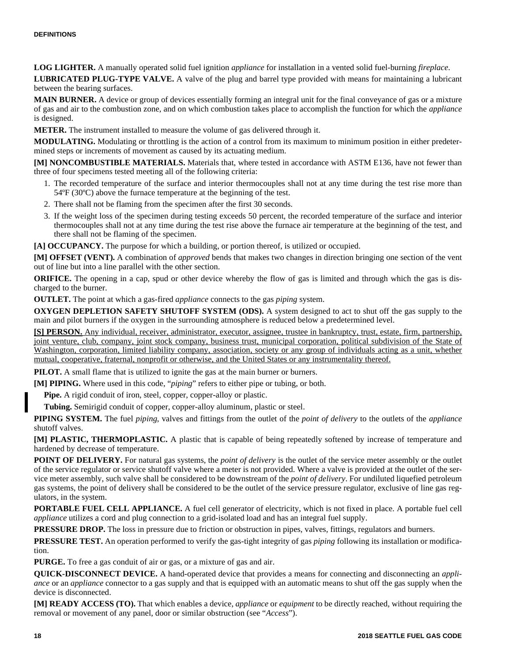**LOG LIGHTER.** A manually operated solid fuel ignition *appliance* for installation in a vented solid fuel-burning *fireplace*.

**LUBRICATED PLUG-TYPE VALVE.** A valve of the plug and barrel type provided with means for maintaining a lubricant between the bearing surfaces.

**MAIN BURNER.** A device or group of devices essentially forming an integral unit for the final conveyance of gas or a mixture of gas and air to the combustion zone, and on which combustion takes place to accomplish the function for which the *appliance* is designed.

**METER.** The instrument installed to measure the volume of gas delivered through it.

**MODULATING.** Modulating or throttling is the action of a control from its maximum to minimum position in either predetermined steps or increments of movement as caused by its actuating medium.

**[M] NONCOMBUSTIBLE MATERIALS.** Materials that, where tested in accordance with ASTM E136, have not fewer than three of four specimens tested meeting all of the following criteria:

- 1. The recorded temperature of the surface and interior thermocouples shall not at any time during the test rise more than 54ºF (30ºC) above the furnace temperature at the beginning of the test.
- 2. There shall not be flaming from the specimen after the first 30 seconds.
- 3. If the weight loss of the specimen during testing exceeds 50 percent, the recorded temperature of the surface and interior thermocouples shall not at any time during the test rise above the furnace air temperature at the beginning of the test, and there shall not be flaming of the specimen.

**[A] OCCUPANCY.** The purpose for which a building, or portion thereof, is utilized or occupied.

**[M] OFFSET (VENT).** A combination of *approved* bends that makes two changes in direction bringing one section of the vent out of line but into a line parallel with the other section.

**ORIFICE.** The opening in a cap, spud or other device whereby the flow of gas is limited and through which the gas is discharged to the burner.

**OUTLET.** The point at which a gas-fired *appliance* connects to the gas *piping* system.

**OXYGEN DEPLETION SAFETY SHUTOFF SYSTEM (ODS).** A system designed to act to shut off the gas supply to the main and pilot burners if the oxygen in the surrounding atmosphere is reduced below a predetermined level.

**[S] PERSON.** Any individual, receiver, administrator, executor, assignee, trustee in bankruptcy, trust, estate, firm, partnership, joint venture, club, company, joint stock company, business trust, municipal corporation, political subdivision of the State of Washington, corporation, limited liability company, association, society or any group of individuals acting as a unit, whether mutual, cooperative, fraternal, nonprofit or otherwise, and the United States or any instrumentality thereof.

**PILOT.** A small flame that is utilized to ignite the gas at the main burner or burners.

**[M] PIPING.** Where used in this code, "*piping*" refers to either pipe or tubing, or both.

**Pipe.** A rigid conduit of iron, steel, copper, copper-alloy or plastic.

**Tubing.** Semirigid conduit of copper, copper-alloy aluminum, plastic or steel.

**PIPING SYSTEM.** The fuel *piping*, valves and fittings from the outlet of the *point of delivery* to the outlets of the *appliance* shutoff valves.

**[M] PLASTIC, THERMOPLASTIC.** A plastic that is capable of being repeatedly softened by increase of temperature and hardened by decrease of temperature.

**POINT OF DELIVERY.** For natural gas systems, the *point of delivery* is the outlet of the service meter assembly or the outlet of the service regulator or service shutoff valve where a meter is not provided. Where a valve is provided at the outlet of the service meter assembly, such valve shall be considered to be downstream of the *point of delivery*. For undiluted liquefied petroleum gas systems, the point of delivery shall be considered to be the outlet of the service pressure regulator, exclusive of line gas regulators, in the system.

**PORTABLE FUEL CELL APPLIANCE.** A fuel cell generator of electricity, which is not fixed in place. A portable fuel cell *appliance* utilizes a cord and plug connection to a grid-isolated load and has an integral fuel supply.

**PRESSURE DROP.** The loss in pressure due to friction or obstruction in pipes, valves, fittings, regulators and burners.

**PRESSURE TEST.** An operation performed to verify the gas-tight integrity of gas *piping* following its installation or modification.

**PURGE.** To free a gas conduit of air or gas, or a mixture of gas and air.

**QUICK-DISCONNECT DEVICE.** A hand-operated device that provides a means for connecting and disconnecting an *appliance* or an *appliance* connector to a gas supply and that is equipped with an automatic means to shut off the gas supply when the device is disconnected.

**[M] READY ACCESS (TO).** That which enables a device, *appliance* or *equipment* to be directly reached, without requiring the removal or movement of any panel, door or similar obstruction (see "*Access*").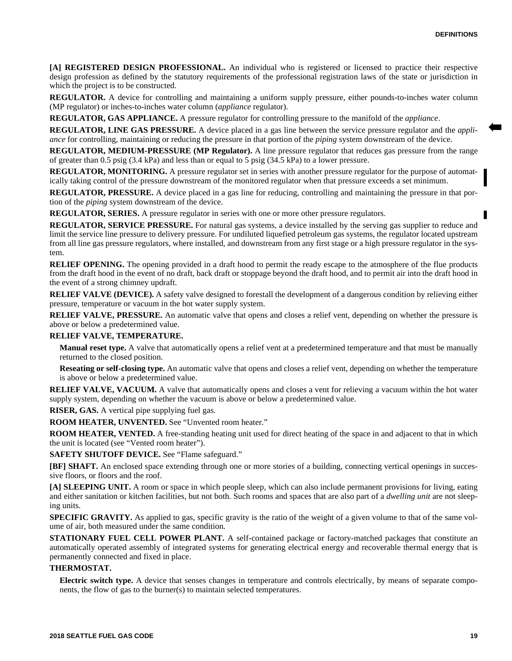**[A] REGISTERED DESIGN PROFESSIONAL.** An individual who is registered or licensed to practice their respective design profession as defined by the statutory requirements of the professional registration laws of the state or jurisdiction in which the project is to be constructed.

**REGULATOR.** A device for controlling and maintaining a uniform supply pressure, either pounds-to-inches water column (MP regulator) or inches-to-inches water column (*appliance* regulator).

**REGULATOR, GAS APPLIANCE.** A pressure regulator for controlling pressure to the manifold of the *appliance*.

**REGULATOR, LINE GAS PRESSURE.** A device placed in a gas line between the service pressure regulator and the *appliance* for controlling, maintaining or reducing the pressure in that portion of the *piping* system downstream of the device.

**REGULATOR, MEDIUM-PRESSURE (MP Regulator).** A line pressure regulator that reduces gas pressure from the range of greater than 0.5 psig (3.4 kPa) and less than or equal to 5 psig (34.5 kPa) to a lower pressure.

**REGULATOR, MONITORING.** A pressure regulator set in series with another pressure regulator for the purpose of automatically taking control of the pressure downstream of the monitored regulator when that pressure exceeds a set minimum.

**REGULATOR, PRESSURE.** A device placed in a gas line for reducing, controlling and maintaining the pressure in that portion of the *piping* system downstream of the device.

**REGULATOR, SERIES.** A pressure regulator in series with one or more other pressure regulators.

**REGULATOR, SERVICE PRESSURE.** For natural gas systems, a device installed by the serving gas supplier to reduce and limit the service line pressure to delivery pressure. For undiluted liquefied petroleum gas systems, the regulator located upstream from all line gas pressure regulators, where installed, and downstream from any first stage or a high pressure regulator in the system.

**RELIEF OPENING.** The opening provided in a draft hood to permit the ready escape to the atmosphere of the flue products from the draft hood in the event of no draft, back draft or stoppage beyond the draft hood, and to permit air into the draft hood in the event of a strong chimney updraft.

**RELIEF VALVE (DEVICE).** A safety valve designed to forestall the development of a dangerous condition by relieving either pressure, temperature or vacuum in the hot water supply system.

**RELIEF VALVE, PRESSURE.** An automatic valve that opens and closes a relief vent, depending on whether the pressure is above or below a predetermined value.

#### **RELIEF VALVE, TEMPERATURE.**

**Manual reset type.** A valve that automatically opens a relief vent at a predetermined temperature and that must be manually returned to the closed position.

**Reseating or self-closing type.** An automatic valve that opens and closes a relief vent, depending on whether the temperature is above or below a predetermined value.

**RELIEF VALVE, VACUUM.** A valve that automatically opens and closes a vent for relieving a vacuum within the hot water supply system, depending on whether the vacuum is above or below a predetermined value.

**RISER, GAS.** A vertical pipe supplying fuel gas.

**ROOM HEATER, UNVENTED.** See "Unvented room heater."

**ROOM HEATER, VENTED.** A free-standing heating unit used for direct heating of the space in and adjacent to that in which the unit is located (see "Vented room heater").

**SAFETY SHUTOFF DEVICE.** See "Flame safeguard."

**[BF] SHAFT.** An enclosed space extending through one or more stories of a building, connecting vertical openings in successive floors, or floors and the roof.

**[A] SLEEPING UNIT.** A room or space in which people sleep, which can also include permanent provisions for living, eating and either sanitation or kitchen facilities, but not both. Such rooms and spaces that are also part of a *dwelling unit* are not sleeping units.

**SPECIFIC GRAVITY.** As applied to gas, specific gravity is the ratio of the weight of a given volume to that of the same volume of air, both measured under the same condition.

**STATIONARY FUEL CELL POWER PLANT.** A self-contained package or factory-matched packages that constitute an automatically operated assembly of integrated systems for generating electrical energy and recoverable thermal energy that is permanently connected and fixed in place.

#### **THERMOSTAT.**

**Electric switch type.** A device that senses changes in temperature and controls electrically, by means of separate components, the flow of gas to the burner(s) to maintain selected temperatures.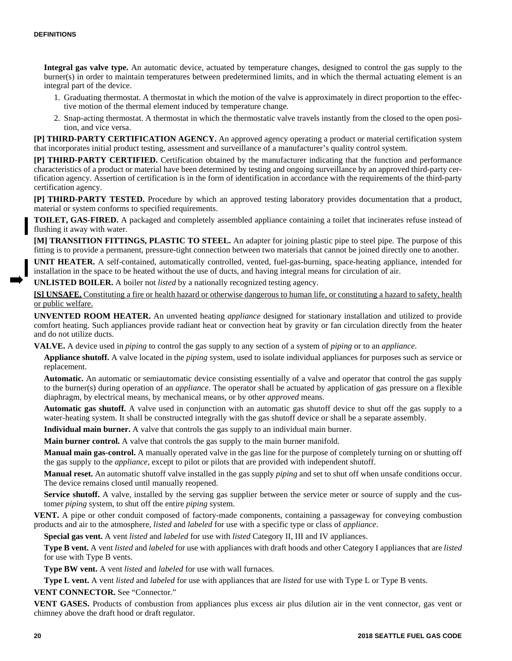**Integral gas valve type.** An automatic device, actuated by temperature changes, designed to control the gas supply to the burner(s) in order to maintain temperatures between predetermined limits, and in which the thermal actuating element is an integral part of the device.

- 1. Graduating thermostat. A thermostat in which the motion of the valve is approximately in direct proportion to the effective motion of the thermal element induced by temperature change.
- 2. Snap-acting thermostat. A thermostat in which the thermostatic valve travels instantly from the closed to the open position, and vice versa.

**[P] THIRD-PARTY CERTIFICATION AGENCY.** An approved agency operating a product or material certification system that incorporates initial product testing, assessment and surveillance of a manufacturer's quality control system.

**[P] THIRD-PARTY CERTIFIED.** Certification obtained by the manufacturer indicating that the function and performance characteristics of a product or material have been determined by testing and ongoing surveillance by an approved third-party certification agency. Assertion of certification is in the form of identification in accordance with the requirements of the third-party certification agency.

**[P] THIRD-PARTY TESTED.** Procedure by which an approved testing laboratory provides documentation that a product, material or system conforms to specified requirements.

**TOILET, GAS-FIRED.** A packaged and completely assembled appliance containing a toilet that incinerates refuse instead of flushing it away with water.

**[M] TRANSITION FITTINGS, PLASTIC TO STEEL.** An adapter for joining plastic pipe to steel pipe. The purpose of this fitting is to provide a permanent, pressure-tight connection between two materials that cannot be joined directly one to another.

**UNIT HEATER.** A self-contained, automatically controlled, vented, fuel-gas-burning, space-heating appliance, intended for installation in the space to be heated without the use of ducts, and having integral means for circulation of air.

**UNLISTED BOILER.** A boiler not *listed* by a nationally recognized testing agency.

**[S] UNSAFE.** Constituting a fire or health hazard or otherwise dangerous to human life, or constituting a hazard to safety, health or public welfare.

**UNVENTED ROOM HEATER.** An unvented heating *appliance* designed for stationary installation and utilized to provide comfort heating. Such appliances provide radiant heat or convection heat by gravity or fan circulation directly from the heater and do not utilize ducts.

**VALVE.** A device used in *piping* to control the gas supply to any section of a system of *piping* or to an *appliance*.

**Appliance shutoff.** A valve located in the *piping* system, used to isolate individual appliances for purposes such as service or replacement.

**Automatic.** An automatic or semiautomatic device consisting essentially of a valve and operator that control the gas supply to the burner(s) during operation of an *appliance*. The operator shall be actuated by application of gas pressure on a flexible diaphragm, by electrical means, by mechanical means, or by other *approved* means.

**Automatic gas shutoff.** A valve used in conjunction with an automatic gas shutoff device to shut off the gas supply to a water-heating system. It shall be constructed integrally with the gas shutoff device or shall be a separate assembly.

**Individual main burner.** A valve that controls the gas supply to an individual main burner.

**Main burner control.** A valve that controls the gas supply to the main burner manifold.

**Manual main gas-control.** A manually operated valve in the gas line for the purpose of completely turning on or shutting off the gas supply to the *appliance*, except to pilot or pilots that are provided with independent shutoff.

**Manual reset.** An automatic shutoff valve installed in the gas supply *piping* and set to shut off when unsafe conditions occur. The device remains closed until manually reopened.

Service shutoff. A valve, installed by the serving gas supplier between the service meter or source of supply and the customer *piping* system, to shut off the entire *piping* system.

**VENT.** A pipe or other conduit composed of factory-made components, containing a passageway for conveying combustion products and air to the atmosphere, *listed* and *labeled* for use with a specific type or class of *appliance*.

**Special gas vent.** A vent *listed* and *labeled* for use with *listed* Category II, III and IV appliances.

**Type B vent.** A vent *listed* and *labeled* for use with appliances with draft hoods and other Category I appliances that are *listed* for use with Type B vents.

**Type BW vent.** A vent *listed* and *labeled* for use with wall furnaces.

**Type L vent.** A vent *listed* and *labeled* for use with appliances that are *listed* for use with Type L or Type B vents.

**VENT CONNECTOR.** See "Connector."

**VENT GASES.** Products of combustion from appliances plus excess air plus dilution air in the vent connector, gas vent or chimney above the draft hood or draft regulator.